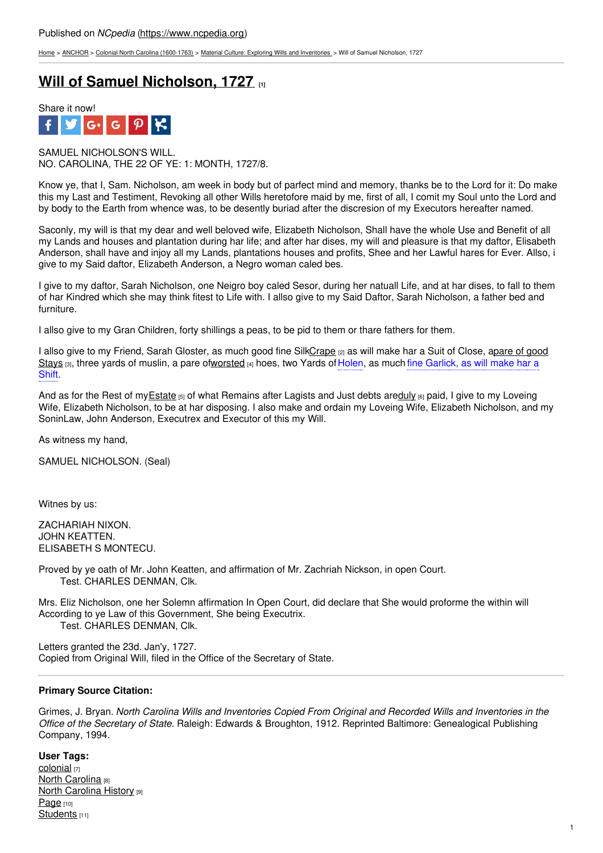[Home](https://www.ncpedia.org/) > [ANCHOR](https://www.ncpedia.org/anchor/anchor) > Colonial North Carolina [\(1600-1763\)](https://www.ncpedia.org/anchor/colonial-north-carolina-1600) > Material Culture: Exploring Wills and [Inventories](https://www.ncpedia.org/anchor/material-culture-exploring) > Will of Samuel Nicholson, 1727

## **Will of Samuel [Nicholson,](https://www.ncpedia.org/anchor/will-samuel-nicholson-1727) 1727 [1]**



SAMUEL NICHOLSON'S WILL. NO. CAROLINA, THE 22 OF YE: 1: MONTH, 1727/8.

Know ye, that I, Sam. Nicholson, am week in body but of parfect mind and memory, thanks be to the Lord for it: Do make this my Last and Testiment, Revoking all other Wills heretofore maid by me, first of all, I comit my Soul unto the Lord and by body to the Earth from whence was, to be desently buriad after the discresion of my Executors hereafter named.

Saconly, my will is that my dear and well beloved wife, Elizabeth Nicholson, Shall have the whole Use and Benefit of all my Lands and houses and plantation during har life; and after har dises, my will and pleasure is that my daftor, Elisabeth Anderson, shall have and injoy all my Lands, plantations houses and profits, Shee and her Lawful hares for Ever. Allso, i give to my Said daftor, Elizabeth A[nderson,](http://www.social9.com) a Negro woman caled bes.

I give to my daftor, Sarah Nicholson, one Neigro boy caled Sesor, during her natuall Life, and at har dises, to fall to them of har Kindred which she may think fitest to Life with. I allso give to my Said Daftor, Sarah Nicholson, a father bed and furniture.

I allso give to my Gran Children, forty shillings a peas, to be pid to them or thare fathers for them.

I allso give to my Friend, Sarah Gloster, as much good fine [SilkCrape](https://www.ncpedia.org/media/steelyard-balance) [2] as will make har a Suit of Close, apare of good Stays  $[3]$ , three yards of muslin, a pare o[fworsted](https://www.ncpedia.org/glossary/worsted)  $[4]$  hoes, two Yards of Holen, as much fine Garlick, as will make har a Shift.

And as for the Rest of my Estate  $[5]$  of what Remains after Lagists and Just debts ar[eduly](https://www.ncpedia.org/glossary/duly)  $[6]$  paid, I give to my Loveing Wife, Elizabeth Nicholson, to be at har disposing. I also make and ordain my Loveing Wife, Elizabeth Nicholson, and my SoninLaw, John Anderson, Executrex and Executor of this my Will.

As witness my hand,

SAMUEL NICHOLSON. (Seal)

Witnes by us:

ZACHARIAH NIXON. JOHN KEATTEN. ELISABETH S MONTECU.

Proved by ye oath of Mr. John Keatten, and affirmation of Mr. Zachriah Nickson, in open Court. Test. CHARLES DENMAN, Clk.

Mrs. Eliz Nicholson, one her Solemn affirmation In Open Court, did declare that She would proforme the within will According to ye Law of this Government, She being Executrix. Test. CHARLES DENMAN, Clk.

Letters granted the 23d. Jan'y, 1727. Copied from Original Will, filed in the Office of the Secretary of State.

## **Primary Source Citation:**

Grimes, J. Bryan. *North Carolina Wills and Inventories Copied From Original and Recorded Wills and Inventories in the Office of the Secretary of State.* Raleigh: Edwards & Broughton, 1912. Reprinted Baltimore: Genealogical Publishing Company, 1994.

**User Tags:** [colonial](https://www.ncpedia.org/category/user-tags/colonial) [7] **North [Carolina](https://www.ncpedia.org/category/user-tags/north-carolina-5)** [8] **North [Carolina](https://www.ncpedia.org/category/user-tags/north-carolina-6) History [9]** [Page](https://www.ncpedia.org/category/user-tags/page) [10] [Students](https://www.ncpedia.org/category/user-tags/students) [11]